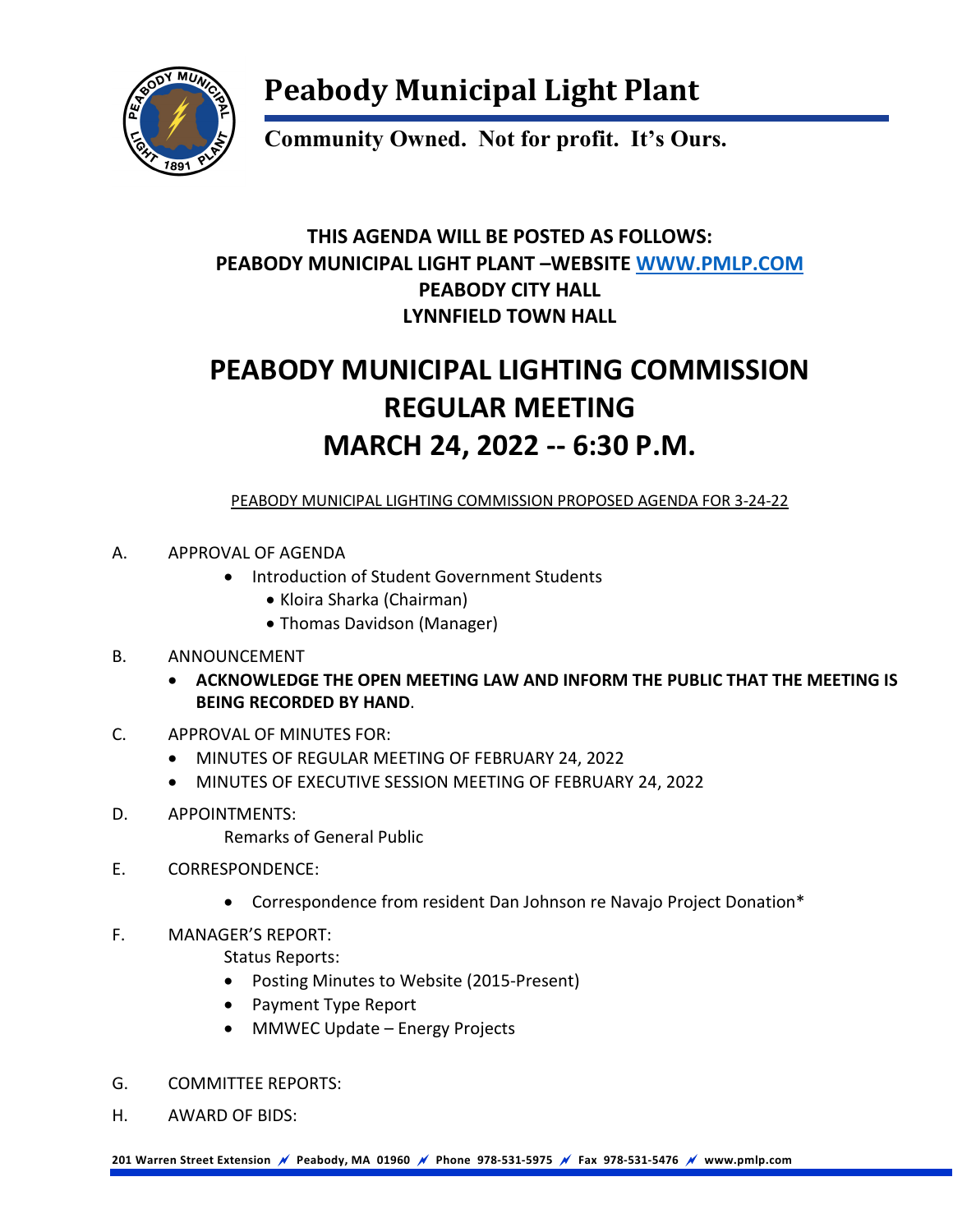

## **Peabody Municipal Light Plant**

**Community Owned. Not for profit. It's Ours.**

#### **THIS AGENDA WILL BE POSTED AS FOLLOWS: PEABODY MUNICIPAL LIGHT PLANT –WEBSITE [WWW.PMLP.COM](http://www.pmlp.com/) PEABODY CITY HALL LYNNFIELD TOWN HALL**

## **PEABODY MUNICIPAL LIGHTING COMMISSION REGULAR MEETING MARCH 24, 2022 -- 6:30 P.M.**

PEABODY MUNICIPAL LIGHTING COMMISSION PROPOSED AGENDA FOR 3-24-22

- A. APPROVAL OF AGENDA
	- Introduction of Student Government Students
		- Kloira Sharka (Chairman)
		- Thomas Davidson (Manager)
- B. ANNOUNCEMENT
	- **ACKNOWLEDGE THE OPEN MEETING LAW AND INFORM THE PUBLIC THAT THE MEETING IS BEING RECORDED BY HAND**.
- C. APPROVAL OF MINUTES FOR:
	- MINUTES OF REGULAR MEETING OF FEBRUARY 24, 2022
	- MINUTES OF EXECUTIVE SESSION MEETING OF FEBRUARY 24, 2022
- D. APPOINTMENTS:

Remarks of General Public

- E. CORRESPONDENCE:
	- Correspondence from resident Dan Johnson re Navajo Project Donation\*
- F. MANAGER'S REPORT:

Status Reports:

- Posting Minutes to Website (2015-Present)
- Payment Type Report
- MMWEC Update Energy Projects
- G. COMMITTEE REPORTS:
- H. AWARD OF BIDS:

**201 Warren Street Extension Peabody, MA 01960 Phone 978-531-5975 Fax 978-531-5476 www.pmlp.com**